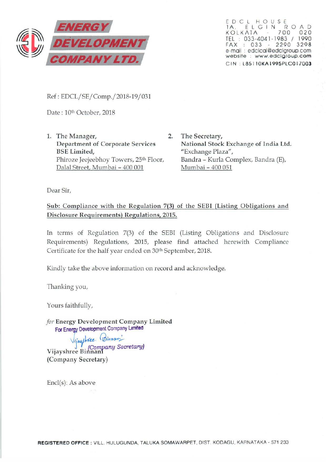

EDCL HOUSE 1 A, ELGIN ROAD<br>KOLKATA - 700 020 TEL : 033-4041-1983 / 1990 FAX : 033 - 2290 3298 e-mail : edclcal@edclgroup.com website : www.edclgroup .com C IN . L85 1 1 OKA 1995PLCO I 7003

Ref: EDCL/SE/Comp./2018-19/031

Date: 10<sup>th</sup> October, 2018

- 1. The Manager, 2. Department of Corporate Services BSE Limited, Phiroze Jeejeebhoy Towers, 25th Floor, Dalal Street, Mumbai - 400 001
	- The Secretary, National Stock Exchange of India Ltd. "Exchange Plaza", Bandra - Kurla Complex, Bandra (E), Mumbai - 400 051

Dear Sir,

## Sub: Compliance with the Regulation 7(3) of the SEBI (Listing Obligations and Disclosure Requirements) Regulations, 2015.

In terms of Regulation 7(3) of the SEBI (Listing Obligations and Disclosure Requirements) Regulations, 2015, please find attached herewith Compliance Certificate for the half year ended on 30<sup>th</sup> September, 2018.

Kindly take the above information on record and acknowledge.

Thanking you,

Yours faithfully,

*for* Energy Development Company Limited For Energy Development Company Limited

Vijayshree (Binnan)<br>Vijayshree Binnani (Company Secretary)

Encl(s): As above